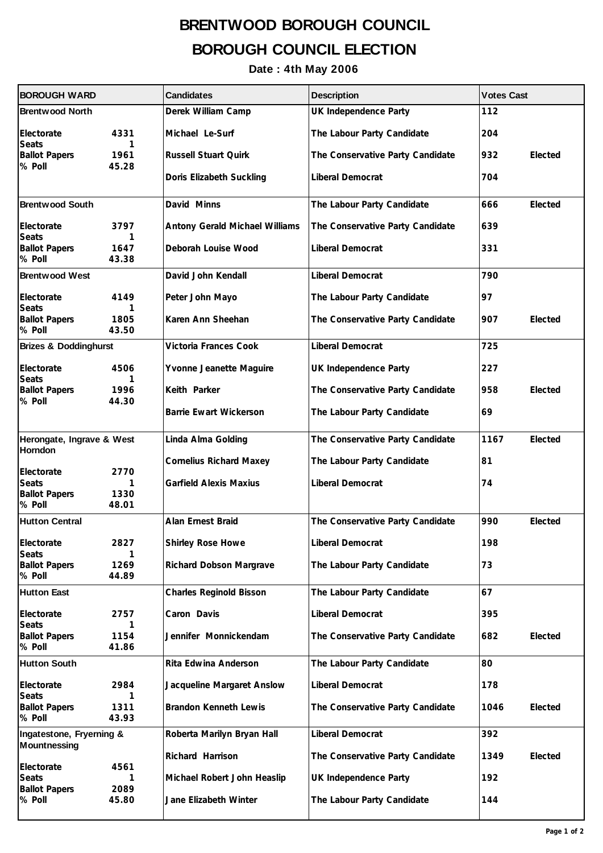## **BRENTWOOD BOROUGH COUNCIL BOROUGH COUNCIL ELECTION**

## **Date : 4th May 2006**

| <b>BOROUGH WARD</b>                                          |                            | <b>Candidates</b>              | <b>Description</b>               | <b>Votes Cast</b> |
|--------------------------------------------------------------|----------------------------|--------------------------------|----------------------------------|-------------------|
| <b>Brentwood North</b>                                       |                            | Derek William Camp             | UK Independence Party            | 112               |
| Electorate<br><b>Seats</b>                                   | 4331<br>1                  | Michael Le-Surf                | The Labour Party Candidate       | 204               |
| <b>Ballot Papers</b><br>% Poll                               | 1961<br>45.28              | <b>Russell Stuart Quirk</b>    | The Conservative Party Candidate | 932<br>Elected    |
|                                                              |                            | Doris Elizabeth Suckling       | Liberal Democrat                 | 704               |
| <b>Brentwood South</b>                                       |                            | David Minns                    | The Labour Party Candidate       | 666<br>Elected    |
| Electorate<br><b>Seats</b>                                   | 3797<br>1                  | Antony Gerald Michael Williams | The Conservative Party Candidate | 639               |
| <b>Ballot Papers</b><br>% Poll                               | 1647<br>43.38              | Deborah Louise Wood            | Liberal Democrat                 | 331               |
| <b>Brentwood West</b>                                        |                            | David John Kendall             | Liberal Democrat                 | 790               |
| Electorate<br><b>Seats</b>                                   | 4149<br>1                  | Peter John Mayo                | The Labour Party Candidate       | 97                |
| <b>Ballot Papers</b><br>% Poll                               | 1805<br>43.50              | Karen Ann Sheehan              | The Conservative Party Candidate | 907<br>Elected    |
| <b>Brizes &amp; Doddinghurst</b>                             |                            | Victoria Frances Cook          | Liberal Democrat                 | 725               |
| Electorate<br>Seats                                          | 4506<br>1                  | Yvonne Jeanette Maguire        | UK Independence Party            | 227               |
| <b>Ballot Papers</b><br>% Poll                               | 1996<br>44.30              | Keith Parker                   | The Conservative Party Candidate | Elected<br>958    |
|                                                              |                            | <b>Barrie Ewart Wickerson</b>  | The Labour Party Candidate       | 69                |
| Herongate, Ingrave & West                                    |                            | Linda Alma Golding             | The Conservative Party Candidate | 1167<br>Elected   |
| <b>Horndon</b>                                               |                            | <b>Cornelius Richard Maxey</b> | The Labour Party Candidate       | 81                |
| Electorate<br><b>Seats</b><br><b>Ballot Papers</b><br>% Poll | 2770<br>1<br>1330<br>48.01 | <b>Garfield Alexis Maxius</b>  | Liberal Democrat                 | 74                |
| <b>Hutton Central</b>                                        |                            | Alan Ernest Braid              | The Conservative Party Candidate | 990<br>Elected    |
| Electorate<br><b>Seats</b>                                   | 2827<br>1                  | Shirley Rose Howe              | Liberal Democrat                 | 198               |
| <b>Ballot Papers</b><br>% Poll                               | 1269<br>44.89              | Richard Dobson Margrave        | The Labour Party Candidate       | 73                |
| <b>Hutton East</b>                                           |                            | <b>Charles Reginold Bisson</b> | The Labour Party Candidate       | 67                |
| Electorate<br><b>Seats</b>                                   | 2757<br>1                  | Caron Davis                    | Liberal Democrat                 | 395               |
| <b>Ballot Papers</b><br>% Poll                               | 1154<br>41.86              | Jennifer Monnickendam          | The Conservative Party Candidate | 682<br>Elected    |
| <b>Hutton South</b>                                          |                            | Rita Edwina Anderson           | The Labour Party Candidate       | 80                |
| Electorate<br>Seats                                          | 2984<br>1                  | Jacqueline Margaret Anslow     | Liberal Democrat                 | 178               |
| <b>Ballot Papers</b><br>% Poll                               | 1311<br>43.93              | <b>Brandon Kenneth Lewis</b>   | The Conservative Party Candidate | Elected<br>1046   |
| Ingatestone, Fryerning &<br><b>Mountnessing</b>              |                            | Roberta Marilyn Bryan Hall     | Liberal Democrat                 | 392               |
|                                                              | 4561                       | Richard Harrison               | The Conservative Party Candidate | 1349<br>Elected   |
| Electorate<br>Seats                                          | 1                          | Michael Robert John Heaslip    | UK Independence Party            | 192               |
| <b>Ballot Papers</b><br>% Poll                               | 2089<br>45.80              | Jane Elizabeth Winter          | The Labour Party Candidate       | 144               |